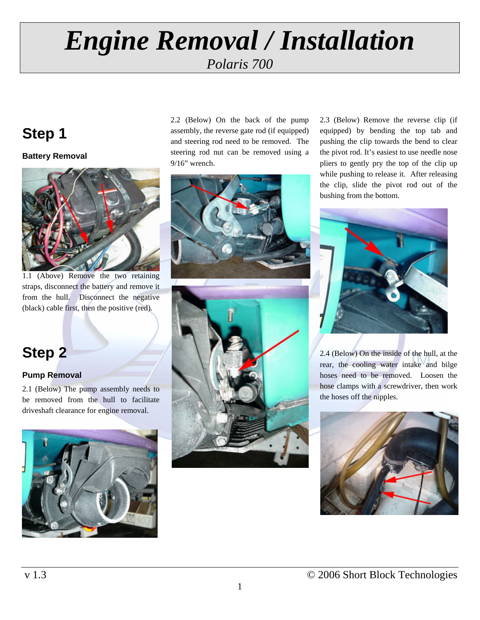## **Step 1**

**Battery Removal** 



1.1 (Above) Remove the two retaining straps, disconnect the battery and remove it from the hull. Disconnect the negative (black) cable first, then the positive (red).

## **Step 2**

#### **Pump Removal**

2.1 (Below) The pump assembly needs to be removed from the hull to facilitate driveshaft clearance for engine removal.



2.2 (Below) On the back of the pump assembly, the reverse gate rod (if equipped) and steering rod need to be removed. The steering rod nut can be removed using a 9/16" wrench.





2.3 (Below) Remove the reverse clip (if equipped) by bending the top tab and pushing the clip towards the bend to clear the pivot rod. It's easiest to use needle nose pliers to gently pry the top of the clip up while pushing to release it. After releasing the clip, slide the pivot rod out of the bushing from the bottom.



2.4 (Below) On the inside of the hull, at the rear, the cooling water intake and bilge hoses need to be removed. Loosen the hose clamps with a screwdriver, then work the hoses off the nipples.

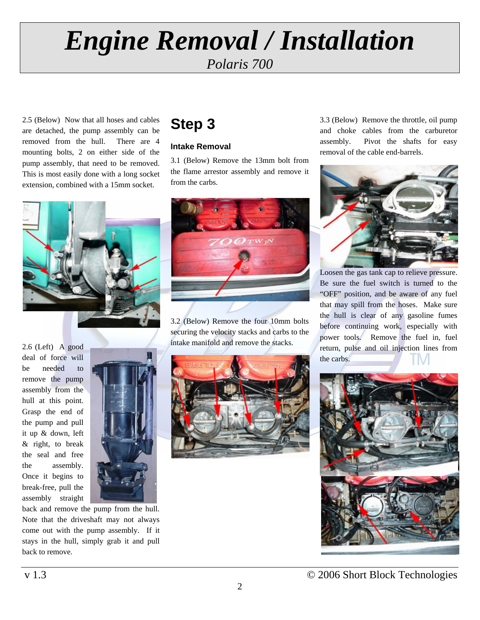*Polaris 700* 

2.5 (Below) Now that all hoses and cables are detached, the pump assembly can be removed from the hull. There are 4 mounting bolts, 2 on either side of the pump assembly, that need to be removed. This is most easily done with a long socket extension, combined with a 15mm socket.



2.6 (Left) A good deal of force will be needed to remove the pump assembly from the hull at this point. Grasp the end of the pump and pull it up & down, left & right, to break the seal and free the assembly. Once it begins to break-free, pull the assembly straight



back and remove the pump from the hull. Note that the driveshaft may not always come out with the pump assembly. If it stays in the hull, simply grab it and pull back to remove.

## **Step 3**

#### **Intake Removal**

3.1 (Below) Remove the 13mm bolt from the flame arrestor assembly and remove it from the carbs.



3.2 (Below) Remove the four 10mm bolts securing the velocity stacks and carbs to the intake manifold and remove the stacks.

3.3 (Below) Remove the throttle, oil pump and choke cables from the carburetor assembly. Pivot the shafts for easy removal of the cable end-barrels.



Loosen the gas tank cap to relieve pressure. Be sure the fuel switch is turned to the "OFF" position, and be aware of any fuel that may spill from the hoses. Make sure the hull is clear of any gasoline fumes before continuing work, especially with power tools. Remove the fuel in, fuel return, pulse and oil injection lines from the carbs.

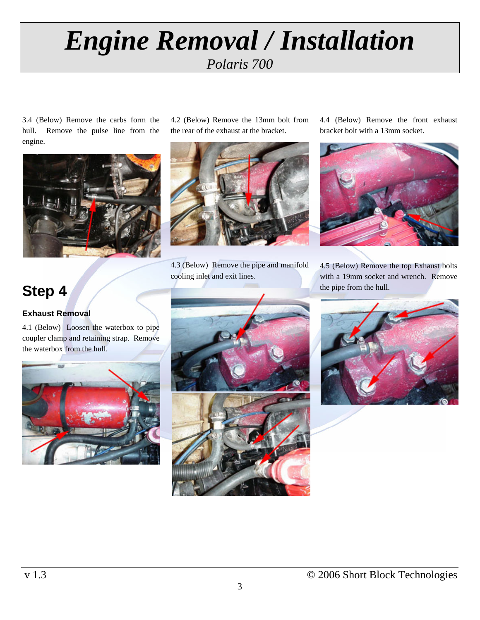3.4 (Below) Remove the carbs form the hull. Remove the pulse line from the engine.



## **Step 4**

#### **Exhaust Removal**

4.1 (Below) Loosen the waterbox to pipe coupler clamp and retaining strap. Remove the waterbox from the hull.



4.2 (Below) Remove the 13mm bolt from the rear of the exhaust at the bracket.



4.3 (Below) Remove the pipe and manifold cooling inlet and exit lines.

4.4 (Below) Remove the front exhaust bracket bolt with a 13mm socket.



4.5 (Below) Remove the top Exhaust bolts with a 19mm socket and wrench. Remove the pipe from the hull.





3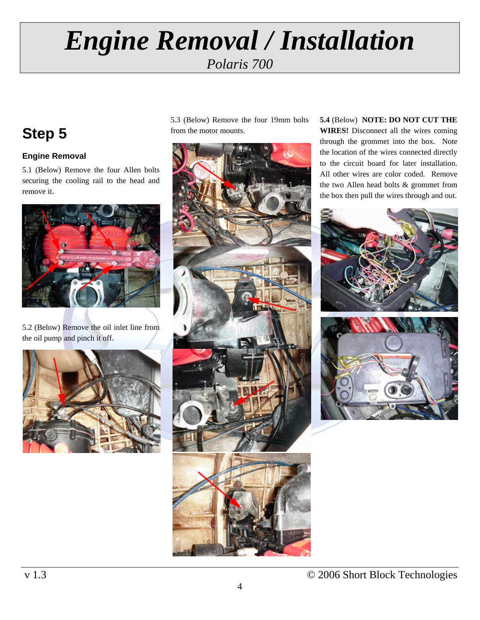## **Step 5**

#### **Engine Removal**

5.1 (Below) Remove the four Allen bolts securing the cooling rail to the head and remove it.



5.2 (Below) Remove the oil inlet line from the oil pump and pinch it off.



5.3 (Below) Remove the four 19mm bolts from the motor mounts.



**5.4** (Below) **NOTE: DO NOT CUT THE WIRES!** Disconnect all the wires coming through the grommet into the box. Note the location of the wires connected directly to the circuit board for later installation. All other wires are color coded. Remove the two Allen head bolts & grommet from the box then pull the wires through and out.

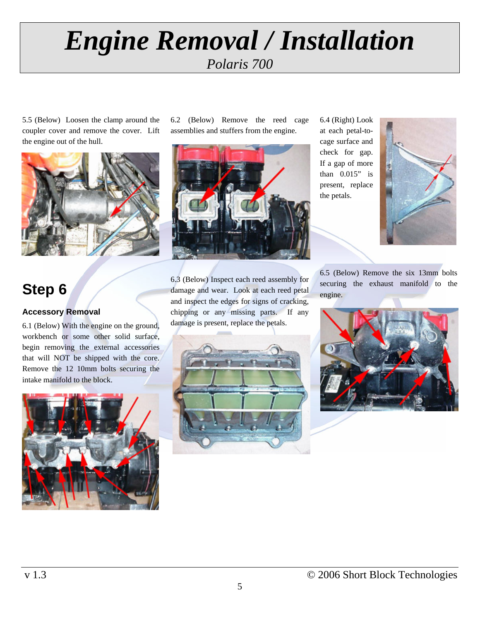5.5 (Below) Loosen the clamp around the coupler cover and remove the cover. Lift the engine out of the hull.



## **Step 6**

#### **Accessory Removal**

6.1 (Below) With the engine on the ground, workbench or some other solid surface, begin removing the external accessories that will NOT be shipped with the core. Remove the 12 10mm bolts securing the intake manifold to the block.



6.2 (Below) Remove the reed cage assemblies and stuffers from the engine.



6.3 (Below) Inspect each reed assembly for damage and wear. Look at each reed petal and inspect the edges for signs of cracking, chipping or any missing parts. If any damage is present, replace the petals.



6.4 (Right) Look at each petal-tocage surface and check for gap. If a gap of more than 0.015" is present, replace the petals.



6.5 (Below) Remove the six 13mm bolts securing the exhaust manifold to the engine.

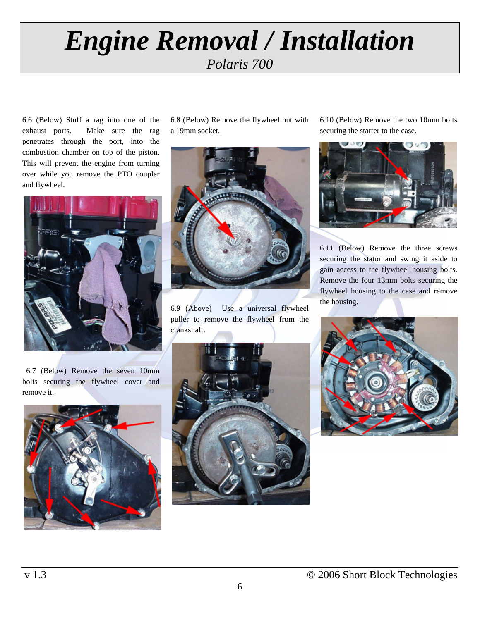6.6 (Below) Stuff a rag into one of the exhaust ports. Make sure the rag penetrates through the port, into the combustion chamber on top of the piston. This will prevent the engine from turning over while you remove the PTO coupler and flywheel.



 6.7 (Below) Remove the seven 10mm bolts securing the flywheel cover and remove it.



6.8 (Below) Remove the flywheel nut with a 19mm socket.



6.9 (Above) Use a universal flywheel puller to remove the flywheel from the crankshaft.

6.10 (Below) Remove the two 10mm bolts securing the starter to the case.



6.11 (Below) Remove the three screws securing the stator and swing it aside to gain access to the flywheel housing bolts. Remove the four 13mm bolts securing the flywheel housing to the case and remove the housing.



6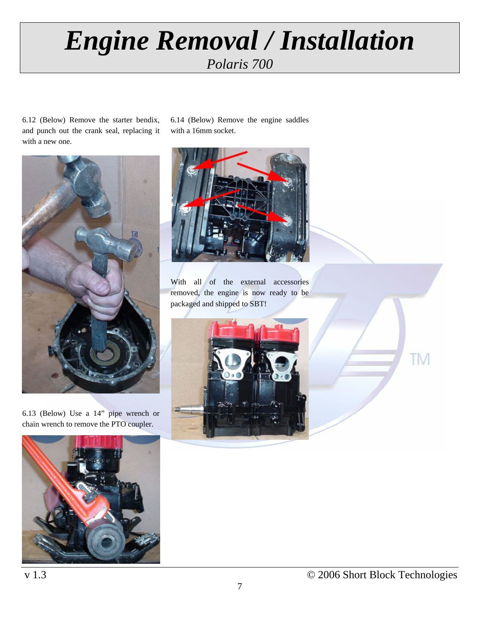6.14 (Below) Remove the engine saddles

with a 16mm socket.

6.12 (Below) Remove the starter bendix, and punch out the crank seal, replacing it with a new one.



6.13 (Below) Use a 14" pipe wrench or chain wrench to remove the PTO coupler.



With all of the external accessories removed, the engine is now ready to be packaged and shipped to SBT!





**TM**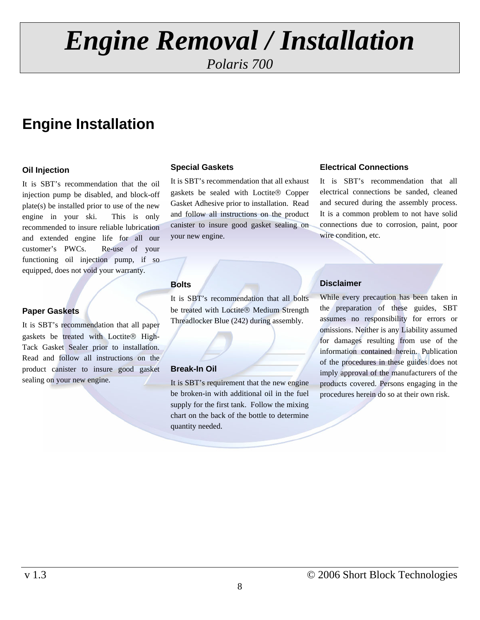*Polaris 700* 

## **Engine Installation**

#### **Oil Injection**

It is SBT's recommendation that the oil injection pump be disabled, and block-off plate(s) be installed prior to use of the new engine in your ski. This is only recommended to insure reliable lubrication and extended engine life for all our customer's PWCs. Re-use of your functioning oil injection pump, if so equipped, does not void your warranty.

#### **Paper Gaskets**

It is SBT's recommendation that all paper gaskets be treated with Loctite® High-Tack Gasket Sealer prior to installation. Read and follow all instructions on the product canister to insure good gasket sealing on your new engine.

#### **Special Gaskets**

It is SBT's recommendation that all exhaust gaskets be sealed with Loctite® Copper Gasket Adhesive prior to installation. Read and follow all instructions on the product canister to insure good gasket sealing on your new engine.

#### **Bolts**

It is SBT's recommendation that all bolts be treated with Loctite® Medium Strength Threadlocker Blue (242) during assembly.

#### **Break-In Oil**

It is SBT's requirement that the new engine be broken-in with additional oil in the fuel supply for the first tank. Follow the mixing chart on the back of the bottle to determine quantity needed.

#### **Electrical Connections**

It is SBT's recommendation that all electrical connections be sanded, cleaned and secured during the assembly process. It is a common problem to not have solid connections due to corrosion, paint, poor wire condition, etc.

#### **Disclaimer**

While every precaution has been taken in the preparation of these guides, SBT assumes no responsibility for errors or omissions. Neither is any Liability assumed for damages resulting from use of the information contained herein. Publication of the procedures in these guides does not imply approval of the manufacturers of the products covered. Persons engaging in the procedures herein do so at their own risk.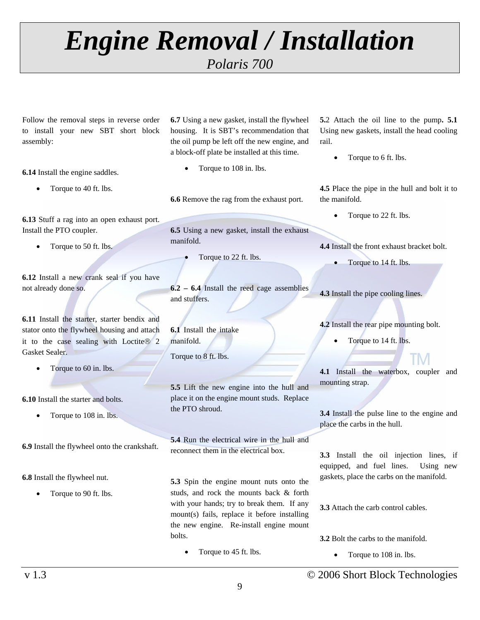*Polaris 700* 

Follow the removal steps in reverse order to install your new SBT short block assembly:

**6.14** Install the engine saddles.

• Torque to 40 ft. lbs.

**6.13** Stuff a rag into an open exhaust port. Install the PTO coupler.

• Torque to 50 ft. lbs.

**6.12** Install a new crank seal if you have not already done so.

**6.11** Install the starter, starter bendix and stator onto the flywheel housing and attach it to the case sealing with Loctite® 2 Gasket Sealer.

• Torque to 60 in. lbs.

**6.10** Install the starter and bolts.

Torque to 108 in. lbs.

**6.9** Install the flywheel onto the crankshaft.

**6.8** Install the flywheel nut.

• Torque to 90 ft. lbs.

**6.7** Using a new gasket, install the flywheel housing. It is SBT's recommendation that the oil pump be left off the new engine, and a block-off plate be installed at this time.

Torque to 108 in. lbs.

**6.6** Remove the rag from the exhaust port.

**6.5** Using a new gasket, install the exhaust manifold.

• Torque to 22 ft. lbs.

**6.2 – 6.4** Install the reed cage assemblies and stuffers.

**6.1** Install the intake manifold. Torque to 8 ft. lbs.

**5.5** Lift the new engine into the hull and place it on the engine mount studs. Replace the PTO shroud.

**5.4** Run the electrical wire in the hull and reconnect them in the electrical box.

**5.3** Spin the engine mount nuts onto the studs, and rock the mounts back & forth with your hands; try to break them. If any mount(s) fails, replace it before installing the new engine. Re-install engine mount bolts.

Torque to 45 ft. lbs.

**5.**2 Attach the oil line to the pump**. 5.1** Using new gaskets, install the head cooling rail.

• Torque to 6 ft. lbs.

**4.5** Place the pipe in the hull and bolt it to the manifold.

• Torque to 22 ft. lbs.

**4.4** Install the front exhaust bracket bolt.

Torque to 14 ft. lbs.

**4.3** Install the pipe cooling lines.

**4.2** Install the rear pipe mounting bolt.

Torque to 14 ft. lbs.

**4.1** Install the waterbox, coupler and mounting strap.

**3.4** Install the pulse line to the engine and place the carbs in the hull.

**3.3** Install the oil injection lines, if equipped, and fuel lines. Using new gaskets, place the carbs on the manifold.

**3.3** Attach the carb control cables.

**3.2** Bolt the carbs to the manifold.

• Torque to 108 in. lbs.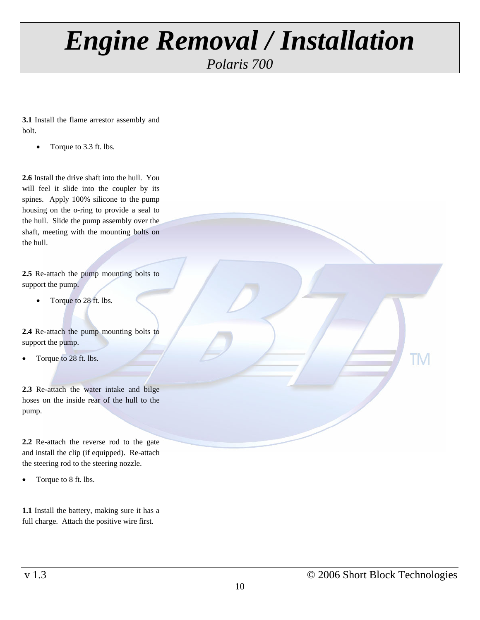### *Polaris 700*

**3.1** Install the flame arrestor assembly and bolt.

• Torque to 3.3 ft. lbs.

**2.6** Install the drive shaft into the hull. You will feel it slide into the coupler by its spines. Apply 100% silicone to the pump housing on the o-ring to provide a seal to the hull. Slide the pump assembly over the shaft, meeting with the mounting bolts on the hull.

**2.5** Re-attach the pump mounting bolts to support the pump.

• Torque to 28 ft. lbs.

**2.4** Re-attach the pump mounting bolts to support the pump.

Torque to 28 ft. lbs.

**2.3** Re-attach the water intake and bilge hoses on the inside rear of the hull to the pump.

**2.2** Re-attach the reverse rod to the gate and install the clip (if equipped). Re-attach the steering rod to the steering nozzle.

• Torque to 8 ft. lbs.

**1.1** Install the battery, making sure it has a full charge. Attach the positive wire first.

**TM** 

10